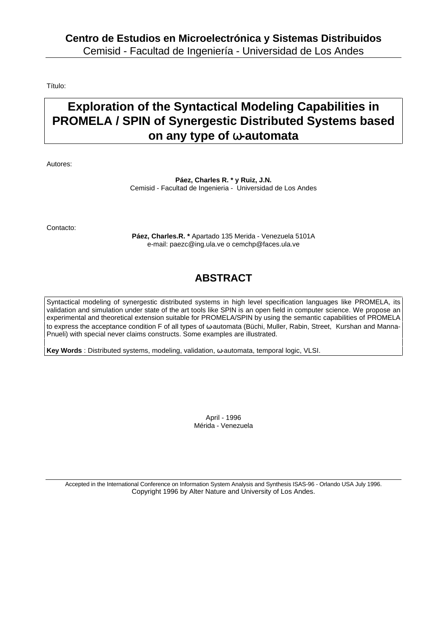Título:

# **Exploration of the Syntactical Modeling Capabilities in PROMELA / SPIN of Synergestic Distributed Systems based on any type of** ω**-automata**

Autores:

**Páez, Charles R. \* y Ruiz, J.N.** Cemisid - Facultad de Ingenieria - Universidad de Los Andes

Contacto:

**Páez, Charles.R. \*** Apartado 135 Merida - Venezuela 5101A e-mail: paezc@ing.ula.ve o cemchp@faces.ula.ve

# **ABSTRACT**

Syntactical modeling of synergestic distributed systems in high level specification languages like PROMELA, its validation and simulation under state of the art tools like SPIN is an open field in computer science. We propose an experimental and theoretical extension suitable for PROMELA/SPIN by using the semantic capabilities of PROMELA to express the acceptance condition F of all types of ω-automata (Büchi, Muller, Rabin, Street, Kurshan and Manna-Pnueli) with special never claims constructs. Some examples are illustrated.

**Key Words** : Distributed systems, modeling, validation, ω-automata, temporal logic, VLSI.

April - 1996 Mérida - Venezuela

Accepted in the International Conference on Information System Analysis and Synthesis ISAS-96 - Orlando USA July 1996. Copyright 1996 by Alter Nature and University of Los Andes.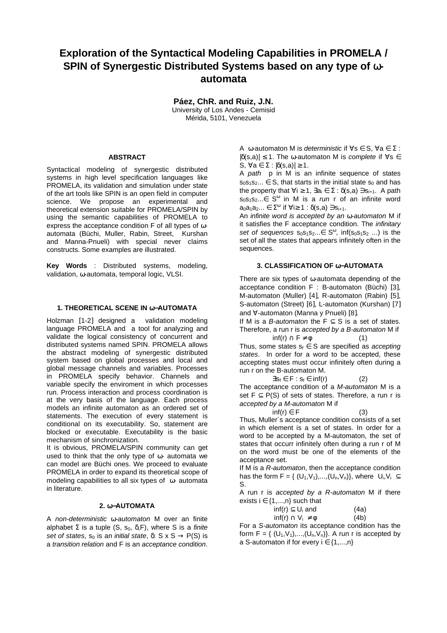## **Exploration of the Syntactical Modeling Capabilities in PROMELA / SPIN of Synergestic Distributed Systems based on any type of** ω**automata**

**Páez, ChR. and Ruiz, J.N.**

University of Los Andes - Cemisid Mérida, 5101, Venezuela

### **ABSTRACT**

Syntactical modeling of synergestic distributed systems in high level specification languages like PROMELA, its validation and simulation under state of the art tools like SPIN is an open field in computer science. We propose an experimental and theoretical extension suitable for PROMELA/SPIN by using the semantic capabilities of PROMELA to express the acceptance condition F of all types of ωautomata (Büchi, Muller, Rabin, Street, Kurshan and Manna-Pnueli) with special never claims constructs. Some examples are illustrated.

**Key Words** : Distributed systems, modeling, validation, ω-automata, temporal logic, VLSI.

#### **1. THEORETICAL SCENE IN** ω−**AUTOMATA**

Holzman [1-2] designed a validation modeling language PROMELA and a tool for analyzing and validate the logical consistency of concurrent and distributed systems named SPIN. PROMELA allows the abstract modeling of synergestic distributed system based on global processes and local and global message channels and variables. Processes in PROMELA specify behavior. Channels and variable specify the enviroment in which processes run. Process interaction and process coordination is at the very basis of the language. Each process models an infinite automaton as an ordered set of statements. The execution of every statement is conditional on its executability. So, statement are blocked or executable. Executability is the basic mechanism of sinchronization.

It is obvious, PROMELA/SPIN community can get used to think that the only type of ω- automata we can model are Büchi ones. We proceed to evaluate PROMELA in order to expand its theoretical scope of modeling capabilities to all six types of ω- automata in literature.

#### **2.** ω−**AUTOMATA**

A non-deterministic ω-automaton M over an finite alphabet  $\Sigma$  is a tuple (S, s<sub>0</sub>,  $\delta$ , F), where S is a finite set of states,  $s_0$  is an *initial state*,  $\delta$ : S x S  $\rightarrow$  P(S) is a transition relation and F is an acceptance condition.

A  $\omega$ -automaton M is *deterministic* if  $\forall s \in S$ ,  $\forall a \in \Sigma$ :  $|\delta(s,a)| \leq 1$ . The ω-automaton M is complete if  $\forall s \in$ S,  $\forall a \in \Sigma : |\delta(s,a)| \geq 1$ .

A path p in M is an infinite sequence of states  $s_0s_1s_2... \in S$ , that starts in the initial state  $s_0$  and has the property that  $\forall i \geq 1$ ,  $\exists a_i \in \Sigma : \delta(s, a) \ni s_{i+1}$ . A path  $s_0s_1s_2... \in S^{\omega}$  in M is a *run* r of an infinite word  $a_0a_1a_2... \in \Sigma^{\omega}$  if  $\forall i \geq 1 : \delta(s,a) \ni s_{i+1}.$ 

An infinite word is accepted by an ω-automaton M if it satisfies the F acceptance condition. The infinitary set of sequences  $s_0s_1s_2... \in S^{\omega}$ , inf( $s_0s_1s_2$  ...) is the set of all the states that appears infinitely often in the sequences.

### **3. CLASSIFICATION OF** ω−**AUTOMATA**

There are six types of ω-automata depending of the acceptance condition F : B-automaton (Büchi) [3], M-automaton (Muller) [4], R-automaton (Rabin) [5], S-automaton (Street) [6], L-automaton (Kurshan) [7] and ∀-automaton (Manna y Pnueli) [8].

If M is a *B-automaton* the F  $\subseteq$  S is a set of states. Therefore, a run r is accepted by a B-automaton M if

 $\inf(r) \cap F \neq \emptyset$  (1) Thus, some states  $s_f \in S$  are specified as *accepting* states. In order for a word to be accepted, these accepting states must occur infinitely often during a run r on the B-automaton M.

$$
\exists s_f \in F : s_f \in inf(r) \tag{2}
$$

The acceptance condition of a M-automaton M is a set  $F \subseteq P(S)$  of sets of states. Therefore, a run r is accepted by a M-automaton M if

 $\inf(r) \in F$  (3) Thus, Muller´s acceptance condition consists of a set in which element is a set of states. In order for a word to be accepted by a M-automaton, the set of states that occurr infinitely often during a run r of M on the word must be one of the elements of the acceptance set.

If M is a R-automaton, then the acceptance condition has the form  $F = \{ (U_1, V_1),..., (U_n, V_n) \}$ , where  $U_i, V_i \subseteq$ S.

A run r is accepted by a R-automaton M if there exists  $i \in \{1,...,n\}$  such that

$$
inf(r) \subseteq U_i \text{ and } (4a)
$$
  
 
$$
inf(r) \cap V_i \neq \emptyset \qquad (4b)
$$

For a S-automaton its acceptance condition has the form  $F = \{ (U_1, V_1), \ldots, (U_n, V_n) \}$ . A run r is accepted by a S-automaton if for every  $i \in \{1,...,n\}$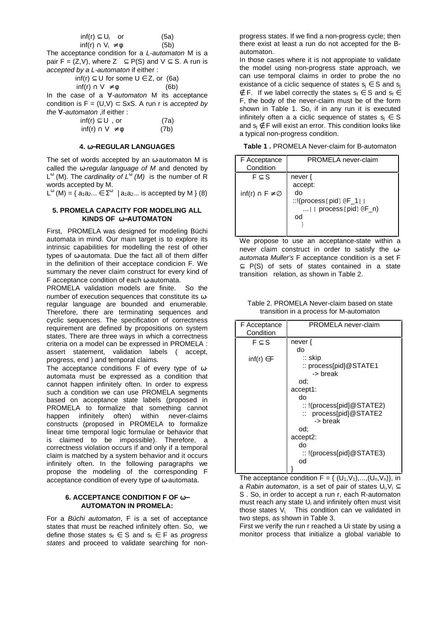$$
inf(r) \subseteq U_i \quad \text{or} \quad (5a)
$$
  

$$
inf(r) \cap V_i \neq \emptyset \quad (5b)
$$

The acceptance condition for a *L-automaton* M is a pair F = (Z,V), where  $Z \subseteq P(S)$  and  $V \subseteq S$ . A run is accepted by a L-automaton if either :

$$
inf(r) \subseteq U \text{ for some } U \in Z, \text{ or } (6a)
$$
  

$$
inf(r) \cap V \neq \emptyset
$$
 (6b)

In the case of a ∀-automaton M its acceptance condition is  $F = (U,V) \subset SxS$ . A run r is accepted by the ∀-automaton ,if either :

> $inf(r) \subset U$ , or (7a)  $inf(r) \cap V \neq \emptyset$  (7b)

#### **4.** ω−**REGULAR LANGUAGES**

The set of words accepted by an  $\omega$ -automaton M is called the  $\omega$ -regular language of M and denoted by  $L^{\omega}$  (M). The cardinality of  $L^{\omega}$  (M) is the number of R words accepted by M.

L<sup>ω</sup> (M) = { $a_1a_2... \in \Sigma^{\omega}$  |  $a_1a_2...$  is accepted by M } (8)

### **5. PROMELA CAPACITY FOR MODELING ALL KINDS OF** ω−**AUTOMATON**

First, PROMELA was designed for modeling Büchi automata in mind. Our main target is to explore its intrinsic capabilities for modelling the rest of other types of ω-automata. Due the fact all of them differ in the definition of their acceptace condicion F. We summary the never claim construct for every kind of F acceptance condition of each ω-automata.

PROMELA validation models are finite. So the number of execution sequences that constitute its ωregular language are bounded and enumerable. Therefore, there are terminating sequences and cyclic sequences. The specification of correctness requirement are defined by propositions on system states. There are three ways in which a correctness criteria on a model can be expressed in PROMELA : assert statement, validation labels ( accept, progress, end ) and temporal claims.

The acceptance conditions F of every type of ωautomata must be expressed as a condition that cannot happen infinitely often. In order to express such a condition we can use PROMELA segments based on acceptance state labels (proposed in PROMELA to formalize that something cannot happen infinitely often) within never-claims constructs (proposed in PROMELA to formalize linear time temporal logic formulae or behavior that is claimed to be impossible). Therefore, a correctness violation occurs if and only if a temporal claim is matched by a system behavior and it occurs infinitely often. In the following paragraphs we propose the modeling of the corresponding F acceptance condition of every type of ω-automata.

#### **6. ACCEPTANCE CONDITION F OF** ω− **AUTOMATON IN PROMELA:**

For a Büchi automaton, F is a set of acceptance states that must be reached infinitely often. So, we define those states  $s_f \in S$  and  $s_f \in F$  as progress states and proceed to validate searching for nonprogress states. If we find a non-progress cycle; then there exist at least a run do not accepted for the Bautomaton.

In those cases where it is not appropiate to validate the model using non-progress state approach, we can use temporal claims in order to probe the no existance of a ciclic sequence of states  $s_i \in S$  and  $s_i$ ∉ F. If we label correctly the states  $s_f \in S$  and  $s_f \in$ F, the body of the never-claim must be of the form shown in Table 1. So, if in any run it is executed infinitely often a a ciclic sequence of states  $s_i \in S$ and  $s_i \notin F$  will exist an error. This condition looks like a typical non-progress condition.

**Table 1 .** PROMELA Never-claim for B-automaton

| F Acceptance<br>Condition        | PROMELA never-claim                                                             |
|----------------------------------|---------------------------------------------------------------------------------|
| $F \subset S$                    | never {<br>accept:                                                              |
| inf(r) $\cap$ F $\neq \emptyset$ | do<br>::!(process [pid] $\mathcal{F}_1$    <br>$  $ process [pid] $(F_n)$<br>od |

We propose to use an acceptance-state within a never claim construct in order to satisfy the ωautomata Muller's F acceptance condition is a set F ⊆ P(S) of sets of states contained in a state transition relation, as shown in Table 2.

Table 2. PROMELA Never-claim based on state transition in a process for M-automaton

| F Acceptance<br>Condition | PROMELA never-claim                                                                                                                                                                                                                     |
|---------------------------|-----------------------------------------------------------------------------------------------------------------------------------------------------------------------------------------------------------------------------------------|
| $F \subseteq S$           | never {<br>do                                                                                                                                                                                                                           |
| $inf(r) \in F$            | $::$ skip<br>:: process[pid]@STATE1<br>-> break<br>od:<br>accept1:<br>do<br>$::$ !(process[pid]@STATE2)<br>process[pid]@STATE2<br>$\mathbb{R}^+$<br>-> break<br>od:<br>accept <sub>2</sub> :<br>do<br>$::$ !(process[pid]@STATE3)<br>od |

The acceptance condition  $F = \{ (U_1, V_1),..., (U_n, V_n) \}$ , in a Rabin automaton, is a set of pair of states  $U_i, V_i \subseteq$ S . So, in order to accept a run r, each R-automaton must reach any state U<sub>i</sub> and infinitely often must visit those states  $V_i$ . This condition can ve validated in two steps, as shown in Table 3.

First we verify the run r reached a Ui state by using a monitor process that initialize a global variable to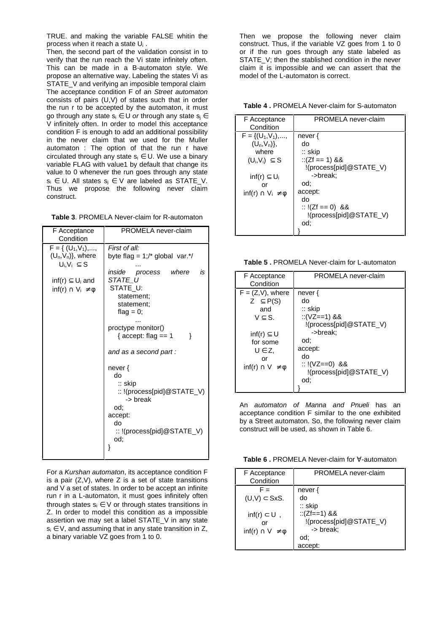TRUE. and making the variable FALSE whitin the process when it reach a state U<sub>i</sub>.

Then, the second part of the validation consist in to verify that the run reach the Vi state infinitely often. This can be made in a B-automaton style. We propose an alternative way. Labeling the states Vi as STATE\_V and verifying an imposible temporal claim The acceptance condition F of an Street automaton consists of pairs (U,V) of states such that in order the run r to be accepted by the automaton, it must go through any state  $s_i \in U$  or through any state  $s_i \in$ V infinitely often. In order to model this acceptance condition F is enough to add an additional possibility in the never claim that we used for the Muller automaton : The option of that the run r have circulated through any state  $s_i \in U$ . We use a binary variable FLAG with value1 by default that change its value to 0 whenever the run goes through any state  $s_i \in U$ . All states  $s_i \in V$  are labeled as STATE\_V. Thus we propose the following never claim construct.

| F Acceptance<br>Condition                                                                                                                 | PROMELA never-claim                                                                                                                                                                                                                              |
|-------------------------------------------------------------------------------------------------------------------------------------------|--------------------------------------------------------------------------------------------------------------------------------------------------------------------------------------------------------------------------------------------------|
| $F = \{ (U_1, V_1), ,$<br>$(U_n,V_n)$ , where<br>$U_i, V_i \subseteq S$<br>inf(r) $\subseteq U_i$ and<br>$inf(r) \cap V_i \neq \emptyset$ | First of all:<br>byte flag = $1$ ;/* global var.*/<br>inside process where<br>is<br>STATE U<br>STATE U:<br>statement;<br>statement;<br>flag = $0;$<br>proctype monitor()<br>{ $accept: flag == 1$<br>λ<br>and as a second part:<br>never {<br>do |
|                                                                                                                                           | $::$ skip<br>:: !(process[pid]@STATE_V)<br>-> break<br>od:<br>accept:<br>do<br>:: !(process[pid]@STATE_V)<br>od:                                                                                                                                 |
|                                                                                                                                           |                                                                                                                                                                                                                                                  |

For a Kurshan automaton, its acceptance condition F is a pair  $(Z, V)$ , where  $Z$  is a set of state transitions and V a set of states. In order to be accept an infinite run r in a L-automaton, it must goes infinitely often through states  $s_i \in V$  or through states transitions in Z. In order to model this condition as a impossible assertion we may set a label STATE\_V in any state  $s_i \in V$ , and assuming that in any state transition in Z, a binary variable VZ goes from 1 to 0.

Then we propose the following never claim construct. Thus, if the variable VZ goes from 1 to 0 or if the run goes through any state labeled as STATE\_V; then the stablished condition in the never claim it is impossible and we can assert that the model of the L-automaton is correct.

**Table 4 .** PROMELA Never-claim for S-automaton

| F Acceptance                     | PROMELA never-claim              |
|----------------------------------|----------------------------------|
| Condition                        |                                  |
| $F = \{ (U_1, V_1), \ldots,$     | never {                          |
| $(U_n, V_n)$ ,                   | do                               |
| where                            | $::$ skip                        |
| $(U_i, V_i) \subseteq S$         | $::(Zf == 1)$ &&                 |
|                                  | !(process[pid]@STATE_V)          |
| inf(r) $\subseteq U_i$           | ->break:                         |
| or                               | od:                              |
| $inf(r) \cap V_i \neq \emptyset$ | accept:                          |
|                                  | do                               |
|                                  | :: $!(Zf == 0)$ &&               |
|                                  | $!(\text{process[pid]}@STATE V)$ |
|                                  | od:                              |
|                                  |                                  |

**Table 5 .** PROMELA Never-claim for L-automaton

| F Acceptance<br>Condition                                                                                                                                       | PROMELA never-claim                                                                                                                                                  |
|-----------------------------------------------------------------------------------------------------------------------------------------------------------------|----------------------------------------------------------------------------------------------------------------------------------------------------------------------|
| $F = (Z,V)$ , where<br>Z $\subseteq$ P(S)<br>and<br>$V \subset S$ .<br>inf(r) $\subseteq$ U<br>for some<br>$U \in Z$ ,<br>or<br>$\inf(r) \cap V \neq \emptyset$ | never $\{$<br>do<br>$::$ skip<br>::(VZ==1) &&<br>!(process[pid]@STATE_V)<br>->break:<br>od:<br>accept:<br>do<br>$:: !(VZ == 0)$ &&<br>!(process[pid]@STATE_V)<br>od: |
|                                                                                                                                                                 |                                                                                                                                                                      |

An automaton of Manna and Pnueli has an acceptance condition F similar to the one exhibited by a Street automaton. So, the following never claim construct will be used, as shown in Table 6.

**Table 6 .** PROMELA Never-claim for ∀-automaton

| F Acceptance<br>Condition                             | PROMELA never-claim                                    |
|-------------------------------------------------------|--------------------------------------------------------|
| $F =$<br>$(U,V) \subset SxS.$<br>$inf(r) \subset U$ , | never $\{$<br>do<br>$::$ skip<br>::(Zf==1) &&          |
| or<br>$\inf(r) \cap V \neq \emptyset$                 | !(process[pid]@STATE_V)<br>-> break:<br>od:<br>accept: |